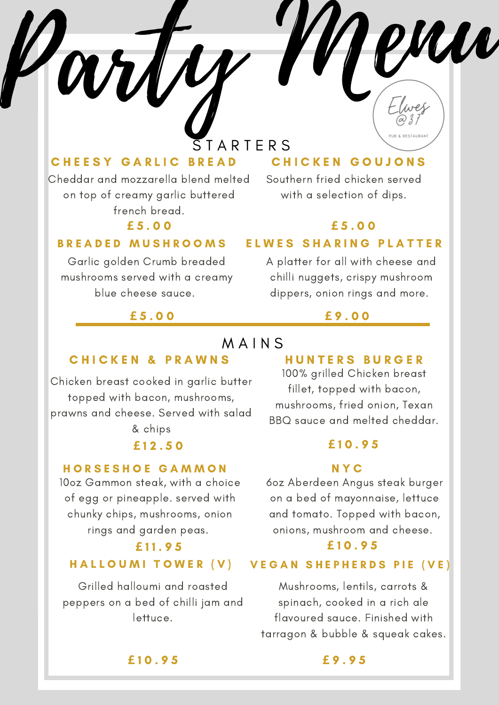Party Menu S T A R T E R S

M A I N S

## CHEESY GARLIC BREAD

Cheddar and mozzarella blend melted on top of creamy garlic buttered french bread.

## **£** 5 . 0 0 **£** 5 . 0 0

### B R E A D E D M U S H R O O M S

Garlic golden Crumb breaded mushrooms served with a creamy blue cheese sauce.

## **£** 5 . 0 0 **£** 9 . 0 0

# CHICKEN GOUJONS

Southern fried chicken served with a selection of dips.

### ELWES SHARING PLATTER

A platter for all with cheese and chilli nuggets, crispy mushroom dippers, onion rings and more.

# **CHICKEN & PRAWNS**

Chicken breast cooked in garlic butter topped with bacon, mushrooms, prawns and cheese. Served with salad

& chips

## H O R S E S H O E G A M M O N

10oz Gammon steak, with a choice of egg or pineapple. served with chunky chips, mushrooms, onion rings and garden peas.

#### HALLOUMI TOWER (V)

Grilled halloumi and roasted peppers on a bed of chilli jam and lettuce.

### H U N T E R S B U R G E R

100% grilled Chicken breast fillet, topped with bacon, mushrooms, fried onion, Texan BBQ sauce and melted cheddar.

### **£** 1 2 . 5 0 **£** 1 0 . 9 5

### N Y C

6oz Aberdeen Angus steak burger on a bed of mayonnaise, lettuce and tomato. Topped with bacon, onions, mushroom and cheese.

## **£** 1 1 . 9 5 **£** 1 0 . 9 5

#### VEGAN SHEPHERDS PIE (VE)

Mushrooms, lentils, carrots & spinach, cooked in a rich ale flavoured sauce. Finished with tarragon & bubble & squeak cakes.

**£** 1 0 . 9 5 **£** 9 . 9 5